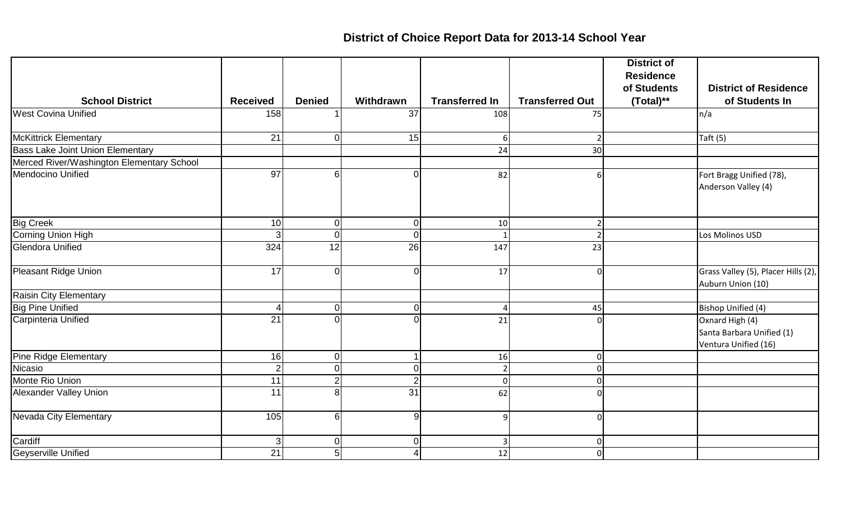## **District of Choice Report Data for 2013-14 School Year**

|                                           |                 |                |                 |                       |                        | <b>District of</b><br><b>Residence</b> |                                                                      |
|-------------------------------------------|-----------------|----------------|-----------------|-----------------------|------------------------|----------------------------------------|----------------------------------------------------------------------|
|                                           |                 |                |                 |                       |                        | of Students                            | <b>District of Residence</b>                                         |
| <b>School District</b>                    | <b>Received</b> | <b>Denied</b>  | Withdrawn       | <b>Transferred In</b> | <b>Transferred Out</b> | (Total)**                              | of Students In                                                       |
| <b>West Covina Unified</b>                | 158             |                | $\overline{37}$ | 108                   | 75                     |                                        | n/a                                                                  |
| <b>McKittrick Elementary</b>              | 21              | U              | 15              | 6                     |                        |                                        | Taft $(5)$                                                           |
| <b>Bass Lake Joint Union Elementary</b>   |                 |                |                 | 24                    | 30                     |                                        |                                                                      |
| Merced River/Washington Elementary School |                 |                |                 |                       |                        |                                        |                                                                      |
| Mendocino Unified                         | $\overline{97}$ | 6              | ი               | 82                    | 6                      |                                        | Fort Bragg Unified (78),<br>Anderson Valley (4)                      |
| <b>Big Creek</b>                          | 10              | $\overline{0}$ | $\overline{0}$  | 10                    | 2 <sup>1</sup>         |                                        |                                                                      |
| Corning Union High                        | 3               | $\overline{0}$ | $\Omega$        |                       | $\overline{2}$         |                                        | Los Molinos USD                                                      |
| <b>Glendora Unified</b>                   | 324             | 12             | 26              | 147                   | 23                     |                                        |                                                                      |
| Pleasant Ridge Union                      | 17              | ΩI             | $\Omega$        | 17                    | $\Omega$               |                                        | Grass Valley (5), Placer Hills (2),<br>Auburn Union (10)             |
| Raisin City Elementary                    |                 |                |                 |                       |                        |                                        |                                                                      |
| <b>Big Pine Unified</b>                   | $\overline{4}$  | $\Omega$       | $\Omega$        | 4                     | 45                     |                                        | Bishop Unified (4)                                                   |
| Carpinteria Unified                       | $\overline{21}$ |                | ∩               | 21                    |                        |                                        | Oxnard High (4)<br>Santa Barbara Unified (1)<br>Ventura Unified (16) |
| Pine Ridge Elementary                     | 16              | $\overline{0}$ |                 | 16                    | $\mathbf{0}$           |                                        |                                                                      |
| Nicasio                                   | $\overline{2}$  | $\Omega$       |                 | $\overline{2}$        | $\Omega$               |                                        |                                                                      |
| Monte Rio Union                           | 11              | 21             |                 | $\Omega$              | $\Omega$               |                                        |                                                                      |
| Alexander Valley Union                    | 11              | 8              | 31              | 62                    | ∩                      |                                        |                                                                      |
| Nevada City Elementary                    | 105             | 6              | $\overline{9}$  | 9                     | $\Omega$               |                                        |                                                                      |
| Cardiff                                   | 3 <sup>1</sup>  | $\overline{0}$ | $\Omega$        | 3                     | 0                      |                                        |                                                                      |
| Geyserville Unified                       | $\overline{21}$ | 5 <sup>1</sup> |                 | 12                    | $\mathbf 0$            |                                        |                                                                      |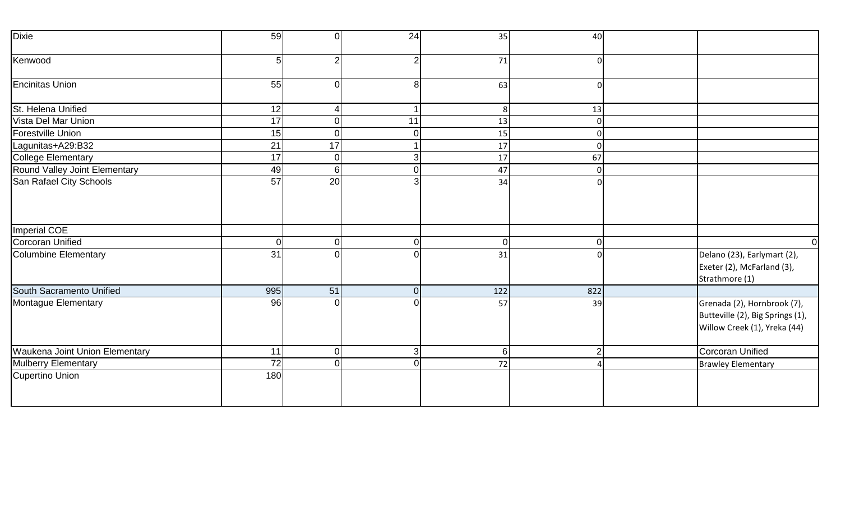| <b>Dixie</b>                   | 59              | $\overline{0}$ | 24             | 35  | 40             |                                                                                                 |
|--------------------------------|-----------------|----------------|----------------|-----|----------------|-------------------------------------------------------------------------------------------------|
| Kenwood                        | 5               | $\overline{2}$ | $\overline{2}$ | 71  |                |                                                                                                 |
| <b>Encinitas Union</b>         | 55              | $\overline{0}$ | 8 <sup>1</sup> | 63  | $\Omega$       |                                                                                                 |
| St. Helena Unified             | 12              | $\overline{4}$ |                | 8   | 13             |                                                                                                 |
| Vista Del Mar Union            | $\overline{17}$ | 0              | 11             | 13  | $\mathbf{0}$   |                                                                                                 |
| Forestville Union              | 15              | $\overline{O}$ | $\overline{0}$ | 15  |                |                                                                                                 |
| Lagunitas+A29:B32              | $\overline{21}$ | 17             |                | 17  | $\mathbf{0}$   |                                                                                                 |
| <b>College Elementary</b>      | $\overline{17}$ | $\overline{0}$ | 3 <sup>1</sup> | 17  | 67             |                                                                                                 |
| Round Valley Joint Elementary  | 49              | 6 <sup>1</sup> | 0              | 47  | $\Omega$       |                                                                                                 |
| San Rafael City Schools        | $\overline{57}$ | 20             | 3              | 34  |                |                                                                                                 |
| <b>Imperial COE</b>            |                 |                |                |     |                |                                                                                                 |
| <b>Corcoran Unified</b>        | $\overline{0}$  | $\overline{O}$ | $\overline{0}$ | 0   | 0              | 0I                                                                                              |
| <b>Columbine Elementary</b>    | 31              | $\Omega$       | Ωl             | 31  |                | Delano (23), Earlymart (2),<br>Exeter (2), McFarland (3),<br>Strathmore (1)                     |
| South Sacramento Unified       | 995             | 51             | 0              | 122 | 822            |                                                                                                 |
| Montague Elementary            | 96              | $\Omega$       |                | 57  | 39             | Grenada (2), Hornbrook (7),<br>Butteville (2), Big Springs (1),<br>Willow Creek (1), Yreka (44) |
| Waukena Joint Union Elementary | 11              | $\overline{0}$ | 3 <sup>1</sup> | 6   | $\overline{2}$ | Corcoran Unified                                                                                |
| <b>Mulberry Elementary</b>     | $\overline{72}$ | $\overline{0}$ | $\overline{0}$ | 72  |                | <b>Brawley Elementary</b>                                                                       |
| <b>Cupertino Union</b>         | 180             |                |                |     |                |                                                                                                 |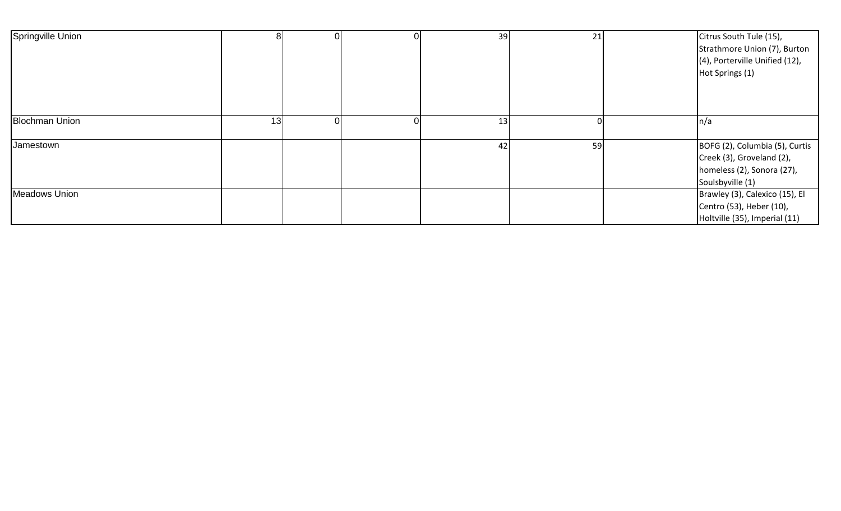| Springville Union     |    |  | 39 | 21 | Citrus South Tule (15),<br>Strathmore Union (7), Burton<br>(4), Porterville Unified (12),<br>Hot Springs (1)  |
|-----------------------|----|--|----|----|---------------------------------------------------------------------------------------------------------------|
| <b>Blochman Union</b> | 13 |  | 13 |    | ∣n/a                                                                                                          |
| Jamestown             |    |  | 42 | 59 | BOFG (2), Columbia (5), Curtis<br>Creek (3), Groveland (2),<br>homeless (2), Sonora (27),<br>Soulsbyville (1) |
| Meadows Union         |    |  |    |    | Brawley (3), Calexico (15), El<br>Centro (53), Heber (10),<br>Holtville (35), Imperial (11)                   |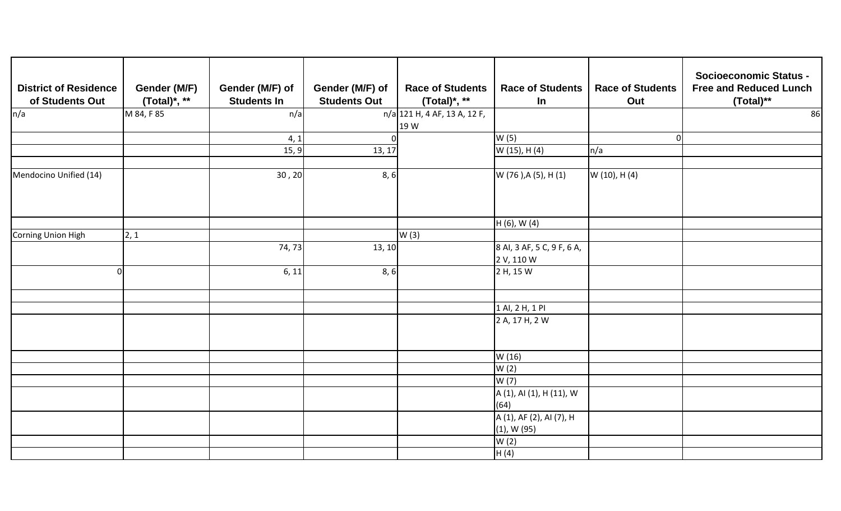| <b>District of Residence</b><br>of Students Out | Gender (M/F)<br>(Total)*, ** | Gender (M/F) of<br><b>Students In</b> | Gender (M/F) of<br><b>Students Out</b> | <b>Race of Students</b><br>(Total)*, ** | <b>Race of Students</b><br><b>In</b>         | <b>Race of Students</b><br>Out | <b>Socioeconomic Status -</b><br><b>Free and Reduced Lunch</b><br>(Total)** |
|-------------------------------------------------|------------------------------|---------------------------------------|----------------------------------------|-----------------------------------------|----------------------------------------------|--------------------------------|-----------------------------------------------------------------------------|
| n/a                                             | M 84, F 85                   | n/a                                   |                                        | $\sqrt{n/a}$ 121 H, 4 AF, 13 A, 12 F,   |                                              |                                | 86                                                                          |
|                                                 |                              | 4, 1                                  | $\overline{0}$                         | 19 W                                    | W(5)                                         | $\Omega$                       |                                                                             |
|                                                 |                              | 15, 9                                 | 13, 17                                 |                                         | W (15), H (4)                                | $\ln/a$                        |                                                                             |
|                                                 |                              |                                       |                                        |                                         |                                              |                                |                                                                             |
| Mendocino Unified (14)                          |                              | 30, 20                                | 8, 6                                   |                                         | W (76 ), A (5), H (1)                        | W (10), H (4)                  |                                                                             |
|                                                 |                              |                                       |                                        |                                         | H (6), W (4)                                 |                                |                                                                             |
| Corning Union High                              | 2, 1                         |                                       |                                        | W(3)                                    |                                              |                                |                                                                             |
|                                                 |                              | 74,73                                 | 13, 10                                 |                                         | 8 Al, 3 AF, 5 C, 9 F, 6 A,<br>2 V, 110 W     |                                |                                                                             |
| $\Omega$                                        |                              | 6, 11                                 | 8, 6                                   |                                         | 2 H, 15 W                                    |                                |                                                                             |
|                                                 |                              |                                       |                                        |                                         | 1 Al, 2 H, 1 Pl                              |                                |                                                                             |
|                                                 |                              |                                       |                                        |                                         | 2 A, 17 H, 2 W                               |                                |                                                                             |
|                                                 |                              |                                       |                                        |                                         | W (16)                                       |                                |                                                                             |
|                                                 |                              |                                       |                                        |                                         | W(2)                                         |                                |                                                                             |
|                                                 |                              |                                       |                                        |                                         | W (7)                                        |                                |                                                                             |
|                                                 |                              |                                       |                                        |                                         | A (1), AI (1), H (11), W<br>(64)             |                                |                                                                             |
|                                                 |                              |                                       |                                        |                                         | A (1), AF (2), AI (7), H<br>$(1)$ , W $(95)$ |                                |                                                                             |
|                                                 |                              |                                       |                                        |                                         | W(2)                                         |                                |                                                                             |
|                                                 |                              |                                       |                                        |                                         | H(4)                                         |                                |                                                                             |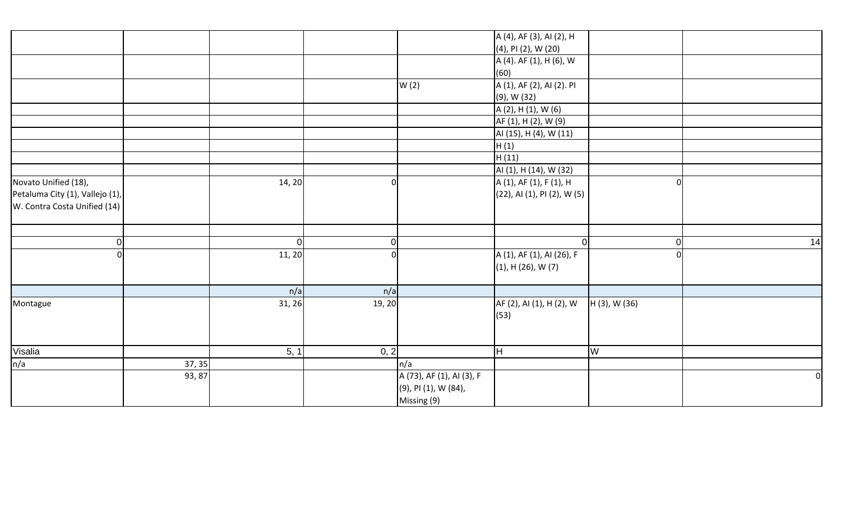|                                 |        |        |                |                           | A (4), AF (3), AI (2), H    |               |          |          |
|---------------------------------|--------|--------|----------------|---------------------------|-----------------------------|---------------|----------|----------|
|                                 |        |        |                |                           | (4), PI (2), W (20)         |               |          |          |
|                                 |        |        |                |                           | A (4). AF (1), H (6), W     |               |          |          |
|                                 |        |        |                |                           | (60)                        |               |          |          |
|                                 |        |        |                | W(2)                      | A (1), AF (2), AI (2). PI   |               |          |          |
|                                 |        |        |                |                           | (9), W (32)                 |               |          |          |
|                                 |        |        |                |                           | A (2), H (1), W (6)         |               |          |          |
|                                 |        |        |                |                           | AF (1), H (2), W (9)        |               |          |          |
|                                 |        |        |                |                           | AI (15), H (4), W (11)      |               |          |          |
|                                 |        |        |                |                           | H(1)                        |               |          |          |
|                                 |        |        |                |                           | H(11)                       |               |          |          |
|                                 |        |        |                |                           | AI (1), H (14), W (32)      |               |          |          |
| Novato Unified (18),            |        | 14, 20 |                |                           | A (1), AF (1), F (1), H     |               | $\Omega$ |          |
| Petaluma City (1), Vallejo (1), |        |        |                |                           | (22), AI (1), PI (2), W (5) |               |          |          |
| W. Contra Costa Unified (14)    |        |        |                |                           |                             |               |          |          |
|                                 |        |        |                |                           |                             |               |          |          |
|                                 |        |        |                |                           |                             |               |          |          |
| 0                               |        | - Ol   | $\overline{0}$ |                           |                             |               | 01       | 14       |
| $\Omega$                        |        | 11, 20 |                |                           | A (1), AF (1), AI (26), F   |               | ΩI       |          |
|                                 |        |        |                |                           | $(1)$ , H $(26)$ , W $(7)$  |               |          |          |
|                                 |        |        |                |                           |                             |               |          |          |
|                                 |        | n/a    | n/a            |                           |                             |               |          |          |
| Montague                        |        | 31, 26 | 19, 20         |                           | AF (2), AI (1), H (2), W    | H (3), W (36) |          |          |
|                                 |        |        |                |                           | (53)                        |               |          |          |
|                                 |        |        |                |                           |                             |               |          |          |
|                                 |        |        |                |                           |                             |               |          |          |
| Visalia                         |        | 5, 1   | 0, 2           |                           | $\overline{\mathsf{H}}$     | W             |          |          |
| n/a                             | 37, 35 |        |                | n/a                       |                             |               |          |          |
|                                 | 93, 87 |        |                | A (73), AF (1), AI (3), F |                             |               |          | $\Omega$ |
|                                 |        |        |                | (9), PI (1), W (84),      |                             |               |          |          |
|                                 |        |        |                | Missing (9)               |                             |               |          |          |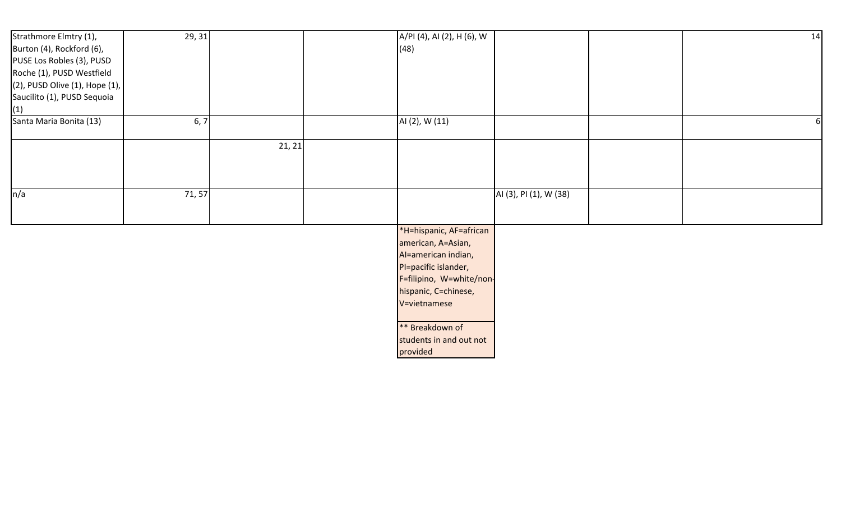| Strathmore Elmtry (1),                  | 29, 31 |        | A/PI (4), AI (2), H (6), W |                        | 14 |
|-----------------------------------------|--------|--------|----------------------------|------------------------|----|
| Burton (4), Rockford (6),               |        |        | (48)                       |                        |    |
| PUSE Los Robles (3), PUSD               |        |        |                            |                        |    |
| Roche (1), PUSD Westfield               |        |        |                            |                        |    |
| $(2)$ , PUSD Olive $(1)$ , Hope $(1)$ , |        |        |                            |                        |    |
| Saucilito (1), PUSD Sequoia             |        |        |                            |                        |    |
| (1)                                     |        |        |                            |                        |    |
| Santa Maria Bonita (13)                 | 6, 7   |        | AI (2), W (11)             |                        |    |
|                                         |        | 21, 21 |                            |                        |    |
|                                         |        |        |                            |                        |    |
|                                         |        |        |                            |                        |    |
| n/a                                     | 71, 57 |        |                            | AI (3), PI (1), W (38) |    |
|                                         |        |        |                            |                        |    |
|                                         |        |        |                            |                        |    |
|                                         |        |        | *H=hispanic, AF=african    |                        |    |
|                                         |        |        | american, A=Asian,         |                        |    |
|                                         |        |        | Al=american indian,        |                        |    |
|                                         |        |        | PI=pacific islander,       |                        |    |
|                                         |        |        | F=filipino, W=white/non-   |                        |    |
|                                         |        |        | hispanic, C=chinese,       |                        |    |
|                                         |        |        | V=vietnamese               |                        |    |
|                                         |        |        |                            |                        |    |
|                                         |        |        | ** Breakdown of            |                        |    |
|                                         |        |        | students in and out not    |                        |    |
|                                         |        |        | provided                   |                        |    |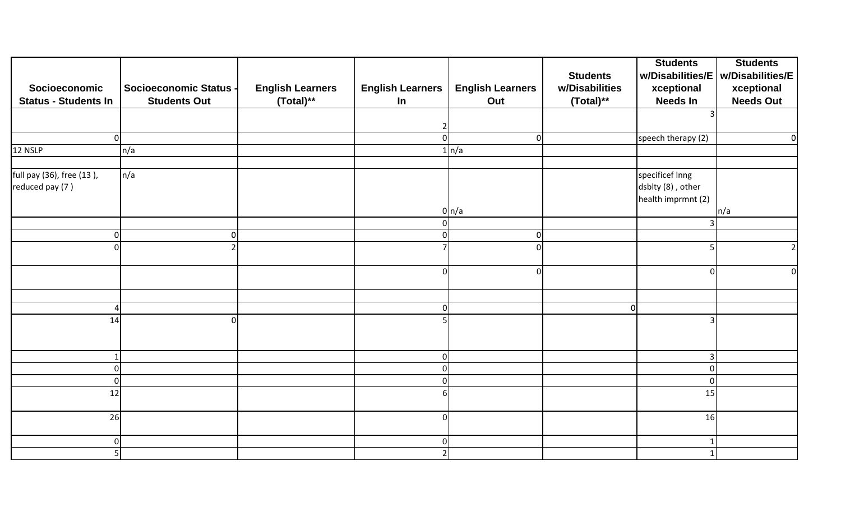|                             |                               |                         |                         |                         |                 | <b>Students</b>    | <b>Students</b>  |
|-----------------------------|-------------------------------|-------------------------|-------------------------|-------------------------|-----------------|--------------------|------------------|
|                             |                               |                         |                         |                         | <b>Students</b> | w/Disabilities/E   | w/Disabilities/E |
| Socioeconomic               | <b>Socioeconomic Status -</b> | <b>English Learners</b> | <b>English Learners</b> | <b>English Learners</b> | w/Disabilities  | xceptional         | xceptional       |
| <b>Status - Students In</b> | <b>Students Out</b>           | (Total)**               | In                      | Out                     | (Total)**       | <b>Needs In</b>    | <b>Needs Out</b> |
|                             |                               |                         |                         |                         |                 |                    |                  |
|                             |                               |                         | 2                       |                         |                 |                    |                  |
| Οl                          |                               |                         | $\Omega$                | $\overline{0}$          |                 | speech therapy (2) | 0                |
| 12 NSLP                     | n/a                           |                         |                         | $1 \mid n/a$            |                 |                    |                  |
|                             |                               |                         |                         |                         |                 |                    |                  |
| full pay (36), free (13),   | n/a                           |                         |                         |                         |                 | specificef Inng    |                  |
| reduced pay (7)             |                               |                         |                         |                         |                 | dsblty (8), other  |                  |
|                             |                               |                         |                         |                         |                 | health imprmnt (2) |                  |
|                             |                               |                         |                         | $0 \mid n/a$            |                 |                    | n/a              |
|                             |                               |                         | $\Omega$                |                         |                 |                    |                  |
| 0                           |                               |                         | O                       | $\mathbf 0$             |                 |                    |                  |
| ΩI                          |                               |                         |                         | $\mathbf 0$             |                 |                    | $\overline{2}$   |
|                             |                               |                         |                         |                         |                 |                    |                  |
|                             |                               |                         | $\Omega$                | $\mathbf 0$             |                 | $\Omega$           | 0                |
|                             |                               |                         |                         |                         |                 |                    |                  |
|                             |                               |                         |                         |                         |                 |                    |                  |
| Λ                           |                               |                         | $\Omega$                |                         | $\mathbf 0$     |                    |                  |
| 14                          |                               |                         |                         |                         |                 |                    |                  |
|                             |                               |                         |                         |                         |                 |                    |                  |
|                             |                               |                         |                         |                         |                 |                    |                  |
|                             |                               |                         | 0                       |                         |                 | $\overline{3}$     |                  |
| ΩI                          |                               |                         |                         |                         |                 | $\Omega$           |                  |
| 0                           |                               |                         |                         |                         |                 | $\mathbf 0$        |                  |
| 12                          |                               |                         |                         |                         |                 | 15                 |                  |
|                             |                               |                         |                         |                         |                 |                    |                  |
| 26                          |                               |                         | r                       |                         |                 | 16                 |                  |
|                             |                               |                         |                         |                         |                 |                    |                  |
| $\overline{0}$              |                               |                         | $\Omega$                |                         |                 |                    |                  |
| $\overline{5}$              |                               |                         | $\mathfrak{p}$          |                         |                 |                    |                  |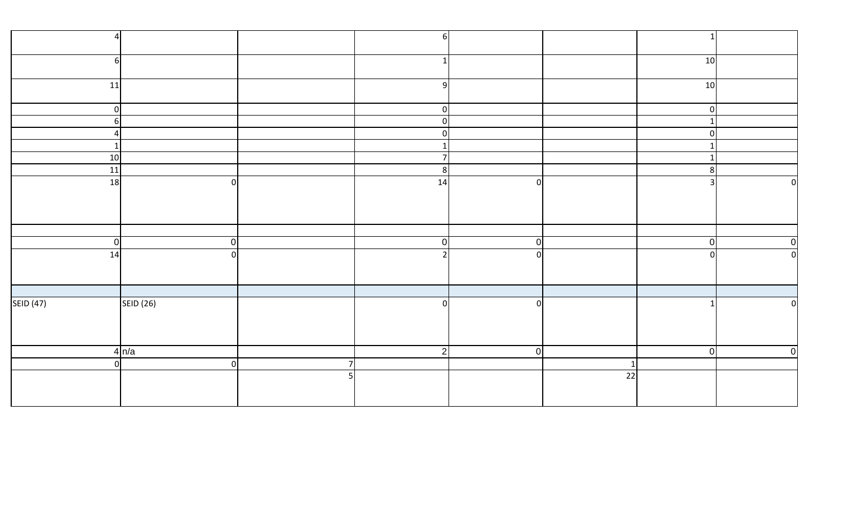|                  |                                 |                | $6 \mid$       |   |    |                 |                |
|------------------|---------------------------------|----------------|----------------|---|----|-----------------|----------------|
| 6                |                                 |                |                |   |    | 10 <sub>1</sub> |                |
| 11               |                                 |                | 9              |   |    | 10 <sup>1</sup> |                |
| $\overline{0}$   |                                 |                | 0              |   |    | 0               |                |
| 6                |                                 |                | 0              |   |    | 1               |                |
| $\overline{a}$   |                                 |                | $\overline{0}$ |   |    | 0               |                |
| $\mathbf{1}$     |                                 |                | $\mathbf 1$    |   |    |                 |                |
| 10               |                                 |                | $\overline{7}$ |   |    |                 |                |
| 11               |                                 |                | 8              |   |    | 8               |                |
| 18               | $\overline{0}$                  |                | 14             | 0 |    | $\overline{3}$  | 0              |
|                  |                                 |                |                |   |    |                 |                |
|                  |                                 |                |                |   |    |                 |                |
|                  |                                 |                |                |   |    |                 |                |
|                  |                                 |                |                |   |    |                 |                |
| $\mathbf 0$      | $\overline{0}$                  |                | 0              | 0 |    | 0               | 0              |
| 14               | $\overline{0}$                  |                | $\mathcal{D}$  | 0 |    | $\Omega$        | $\overline{0}$ |
|                  |                                 |                |                |   |    |                 |                |
|                  |                                 |                |                |   |    |                 |                |
| <b>SEID (47)</b> |                                 |                | 0              | 0 |    |                 | $\overline{0}$ |
|                  | $\overline{\mathsf{SEID}}$ (26) |                |                |   |    |                 |                |
|                  |                                 |                |                |   |    |                 |                |
|                  |                                 |                |                |   |    |                 |                |
|                  | 4 n/a                           |                | 2              | 0 |    | 0               | 0              |
| $\overline{0}$   | 0                               | $\overline{7}$ |                |   |    |                 |                |
|                  |                                 | 5              |                |   | 22 |                 |                |
|                  |                                 |                |                |   |    |                 |                |
|                  |                                 |                |                |   |    |                 |                |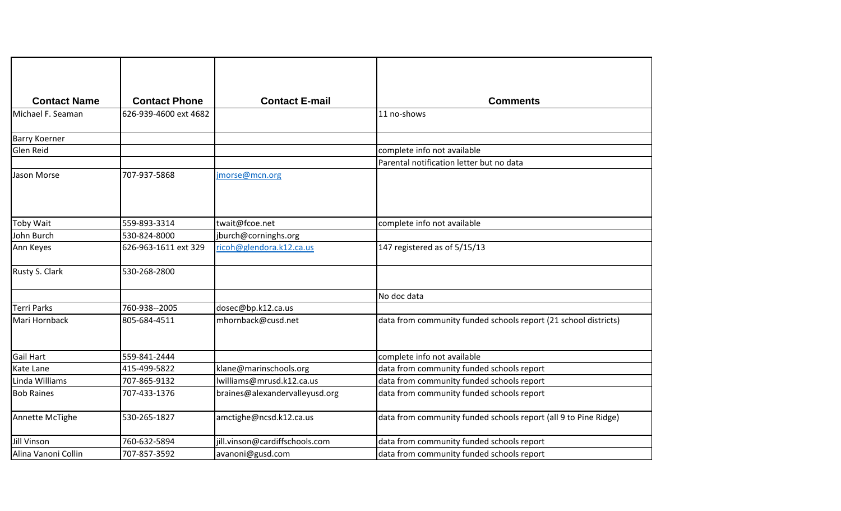| <b>Contact Name</b>  | <b>Contact Phone</b>  | <b>Contact E-mail</b>          | <b>Comments</b>                                                 |
|----------------------|-----------------------|--------------------------------|-----------------------------------------------------------------|
| Michael F. Seaman    | 626-939-4600 ext 4682 |                                | 11 no-shows                                                     |
| <b>Barry Koerner</b> |                       |                                |                                                                 |
| Glen Reid            |                       |                                | complete info not available                                     |
|                      |                       |                                | Parental notification letter but no data                        |
| Jason Morse          | 707-937-5868          | imorse@mcn.org                 |                                                                 |
| <b>Toby Wait</b>     | 559-893-3314          | twait@fcoe.net                 | complete info not available                                     |
| John Burch           | 530-824-8000          | jburch@corninghs.org           |                                                                 |
| Ann Keyes            | 626-963-1611 ext 329  | ricoh@glendora.k12.ca.us       | 147 registered as of 5/15/13                                    |
| Rusty S. Clark       | 530-268-2800          |                                |                                                                 |
|                      |                       |                                | No doc data                                                     |
| <b>Terri Parks</b>   | 760-938--2005         | dosec@bp.k12.ca.us             |                                                                 |
| Mari Hornback        | 805-684-4511          | mhornback@cusd.net             | data from community funded schools report (21 school districts) |
| <b>Gail Hart</b>     | 559-841-2444          |                                | complete info not available                                     |
| Kate Lane            | 415-499-5822          | klane@marinschools.org         | data from community funded schools report                       |
| Linda Williams       | 707-865-9132          | lwilliams@mrusd.k12.ca.us      | data from community funded schools report                       |
| <b>Bob Raines</b>    | 707-433-1376          | braines@alexandervalleyusd.org | data from community funded schools report                       |
| Annette McTighe      | 530-265-1827          | amctighe@ncsd.k12.ca.us        | data from community funded schools report (all 9 to Pine Ridge) |
| <b>Jill Vinson</b>   | 760-632-5894          | jill.vinson@cardiffschools.com | data from community funded schools report                       |
| Alina Vanoni Collin  | 707-857-3592          | avanoni@gusd.com               | data from community funded schools report                       |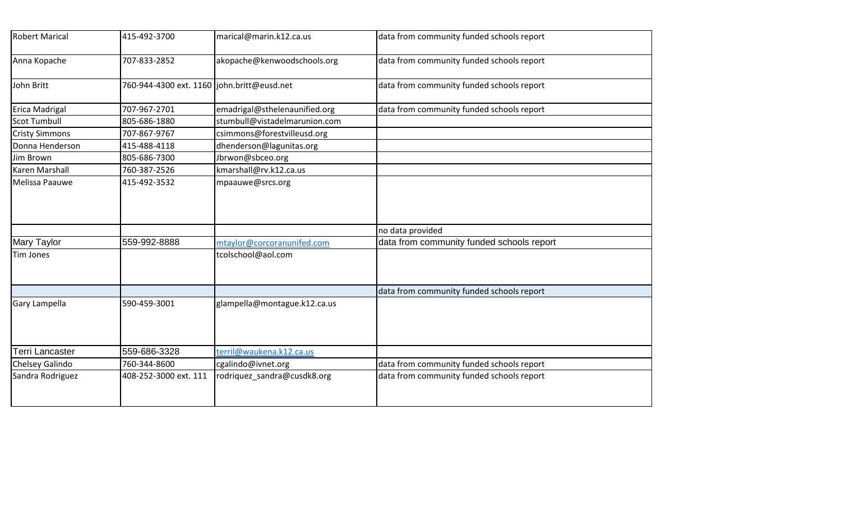| <b>Robert Marical</b> | 415-492-3700                               | marical@marin.k12.ca.us       | data from community funded schools report |
|-----------------------|--------------------------------------------|-------------------------------|-------------------------------------------|
| Anna Kopache          | 707-833-2852                               | akopache@kenwoodschools.org   | data from community funded schools report |
| John Britt            | 760-944-4300 ext. 1160 john.britt@eusd.net |                               | data from community funded schools report |
| Erica Madrigal        | 707-967-2701                               | emadrigal@sthelenaunified.org | data from community funded schools report |
| <b>Scot Tumbull</b>   | 805-686-1880                               | stumbull@vistadelmarunion.com |                                           |
| <b>Cristy Simmons</b> | 707-867-9767                               | csimmons@forestvilleusd.org   |                                           |
| Donna Henderson       | 415-488-4118                               | dhenderson@lagunitas.org      |                                           |
| Jim Brown             | 805-686-7300                               | Jbrwon@sbceo.org              |                                           |
| Karen Marshall        | 760-387-2526                               | kmarshall@rv.k12.ca.us        |                                           |
| Melissa Paauwe        | 415-492-3532                               | mpaauwe@srcs.org              |                                           |
|                       |                                            |                               | no data provided                          |
| <b>Mary Taylor</b>    | 559-992-8888                               | mtaylor@corcoranunifed.com    | data from community funded schools report |
| Tim Jones             |                                            | tcolschool@aol.com            |                                           |
|                       |                                            |                               | data from community funded schools report |
| Gary Lampella         | 590-459-3001                               | glampella@montague.k12.ca.us  |                                           |
| Terri Lancaster       | 559-686-3328                               | terril@waukena.k12.ca.us      |                                           |
| Chelsey Galindo       | 760-344-8600                               | cgalindo@ivnet.org            | data from community funded schools report |
| Sandra Rodriguez      | 408-252-3000 ext. 111                      | rodriquez_sandra@cusdk8.org   | data from community funded schools report |
|                       |                                            |                               |                                           |